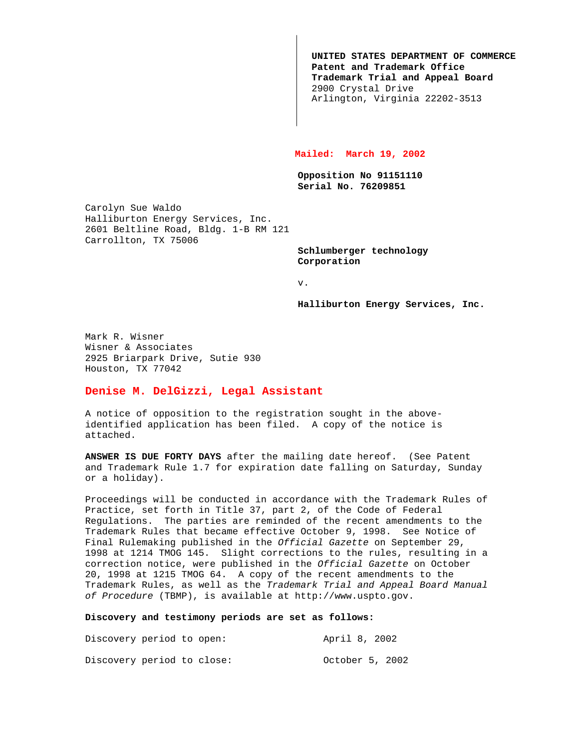**UNITED STATES DEPARTMENT OF COMMERCE Patent and Trademark Office Trademark Trial and Appeal Board** 2900 Crystal Drive Arlington, Virginia 22202-3513

## **Mailed: March 19, 2002**

**Opposition No 91151110 Serial No. 76209851**

Carolyn Sue Waldo Halliburton Energy Services, Inc. 2601 Beltline Road, Bldg. 1-B RM 121 Carrollton, TX 75006

> **Schlumberger technology Corporation**

v.

**Halliburton Energy Services, Inc.**

Mark R. Wisner Wisner & Associates 2925 Briarpark Drive, Sutie 930 Houston, TX 77042

## **Denise M. DelGizzi, Legal Assistant**

A notice of opposition to the registration sought in the aboveidentified application has been filed. A copy of the notice is attached.

**ANSWER IS DUE FORTY DAYS** after the mailing date hereof. (See Patent and Trademark Rule 1.7 for expiration date falling on Saturday, Sunday or a holiday).

Proceedings will be conducted in accordance with the Trademark Rules of Practice, set forth in Title 37, part 2, of the Code of Federal Regulations. The parties are reminded of the recent amendments to the Trademark Rules that became effective October 9, 1998. See Notice of Final Rulemaking published in the Official Gazette on September 29, 1998 at 1214 TMOG 145. Slight corrections to the rules, resulting in a correction notice, were published in the Official Gazette on October 20, 1998 at 1215 TMOG 64. A copy of the recent amendments to the Trademark Rules, as well as the Trademark Trial and Appeal Board Manual of Procedure (TBMP), is available at http://www.uspto.gov.

## **Discovery and testimony periods are set as follows:**

| Discovery period to open:  |  | April 8, 2002   |  |  |
|----------------------------|--|-----------------|--|--|
| Discovery period to close: |  | October 5, 2002 |  |  |